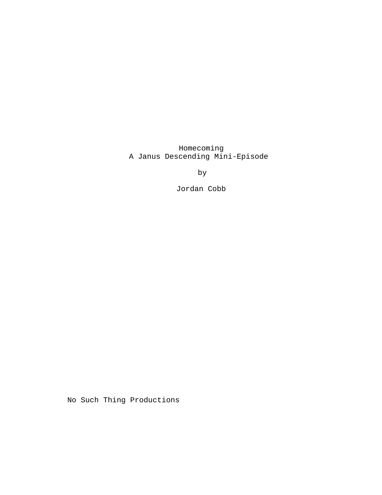Homecoming A Janus Descending Mini-Episode

by

Jordan Cobb

No Such Thing Productions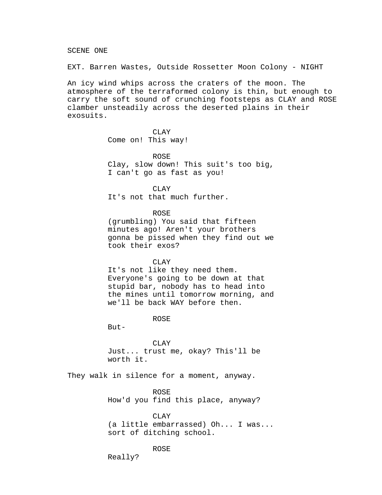SCENE ONE

EXT. Barren Wastes, Outside Rossetter Moon Colony - NIGHT

An icy wind whips across the craters of the moon. The atmosphere of the terraformed colony is thin, but enough to carry the soft sound of crunching footsteps as CLAY and ROSE clamber unsteadily across the deserted plains in their exosuits.

> CLAY Come on! This way!

ROSE Clay, slow down! This suit's too big, I can't go as fast as you!

CLAY

It's not that much further.

ROSE

(grumbling) You said that fifteen minutes ago! Aren't your brothers gonna be pissed when they find out we took their exos?

CLAY

It's not like they need them. Everyone's going to be down at that stupid bar, nobody has to head into the mines until tomorrow morning, and we'll be back WAY before then.

ROSE

But-

CLAY Just... trust me, okay? This'll be worth it.

They walk in silence for a moment, anyway.

ROSE How'd you find this place, anyway?

CLAY (a little embarrassed) Oh... I was... sort of ditching school.

# ROSE

Really?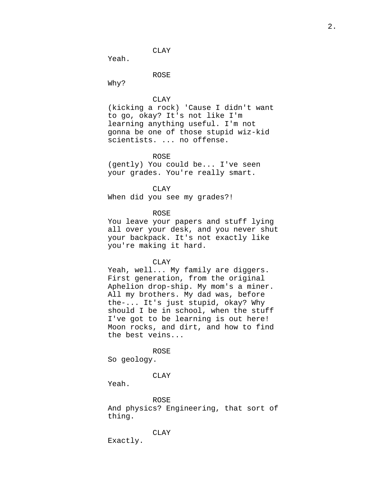CLAY

Yeah.

ROSE

Why?

CLAY

(kicking a rock) 'Cause I didn't want to go, okay? It's not like I'm learning anything useful. I'm not gonna be one of those stupid wiz-kid scientists. ... no offense.

ROSE

(gently) You could be... I've seen your grades. You're really smart.

CLAY When did you see my grades?!

ROSE

You leave your papers and stuff lying all over your desk, and you never shut your backpack. It's not exactly like you're making it hard.

CLAY

Yeah, well... My family are diggers. First generation, from the original Aphelion drop-ship. My mom's a miner. All my brothers. My dad was, before the-... It's just stupid, okay? Why should I be in school, when the stuff I've got to be learning is out here! Moon rocks, and dirt, and how to find the best veins...

ROSE

So geology.

CLAY

Yeah.

ROSE And physics? Engineering, that sort of thing.

CLAY

Exactly.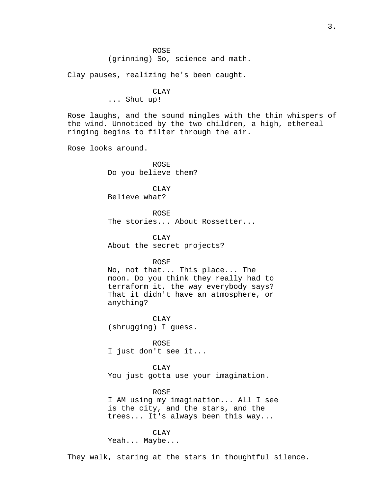Clay pauses, realizing he's been caught.

CLAY ... Shut up!

Rose laughs, and the sound mingles with the thin whispers of the wind. Unnoticed by the two children, a high, ethereal ringing begins to filter through the air.

Rose looks around.

ROSE Do you believe them?

CLAY Believe what?

ROSE The stories... About Rossetter...

CLAY About the secret projects?

ROSE

No, not that... This place... The moon. Do you think they really had to terraform it, the way everybody says? That it didn't have an atmosphere, or anything?

CLAY (shrugging) I guess.

ROSE I just don't see it...

CLAY You just gotta use your imagination.

## ROSE

I AM using my imagination... All I see is the city, and the stars, and the trees... It's always been this way...

CLAY Yeah... Maybe...

They walk, staring at the stars in thoughtful silence.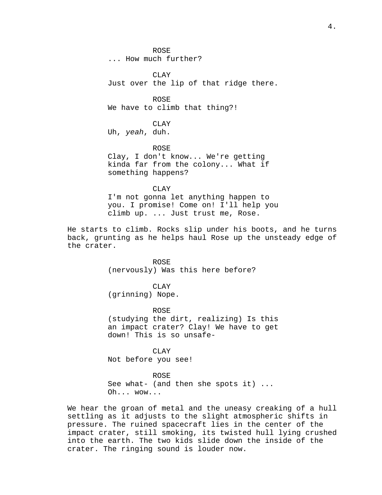ROSE ... How much further?

CLAY Just over the lip of that ridge there.

ROSE We have to climb that thing?!

CLAY Uh, yeah, duh.

ROSE Clay, I don't know... We're getting kinda far from the colony... What if something happens?

CLAY I'm not gonna let anything happen to you. I promise! Come on! I'll help you climb up. ... Just trust me, Rose.

He starts to climb. Rocks slip under his boots, and he turns back, grunting as he helps haul Rose up the unsteady edge of the crater.

> ROSE (nervously) Was this here before?

CLAY (grinning) Nope.

ROSE (studying the dirt, realizing) Is this an impact crater? Clay! We have to get down! This is so unsafe-

CLAY Not before you see!

ROSE See what- (and then she spots it) ... Oh... wow...

We hear the groan of metal and the uneasy creaking of a hull settling as it adjusts to the slight atmospheric shifts in pressure. The ruined spacecraft lies in the center of the impact crater, still smoking, its twisted hull lying crushed into the earth. The two kids slide down the inside of the crater. The ringing sound is louder now.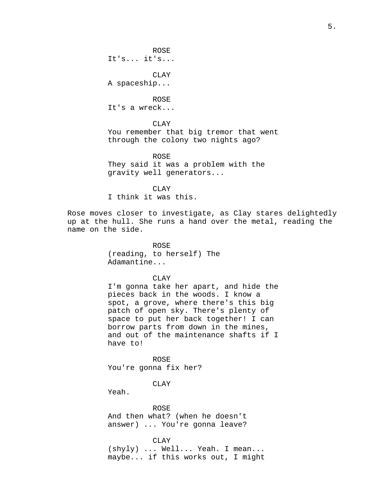ROSE It's... it's...

CLAY A spaceship...

ROSE It's a wreck...

CLAY You remember that big tremor that went through the colony two nights ago?

ROSE They said it was a problem with the gravity well generators...

CLAY I think it was this.

Rose moves closer to investigate, as Clay stares delightedly up at the hull. She runs a hand over the metal, reading the name on the side.

> ROSE (reading, to herself) The Adamantine...

## CLAY

I'm gonna take her apart, and hide the pieces back in the woods. I know a spot, a grove, where there's this big patch of open sky. There's plenty of space to put her back together! I can borrow parts from down in the mines, and out of the maintenance shafts if I have to!

ROSE You're gonna fix her?

CLAY

Yeah.

ROSE And then what? (when he doesn't answer) ... You're gonna leave?

CLAY (shyly) ... Well... Yeah. I mean... maybe... if this works out, I might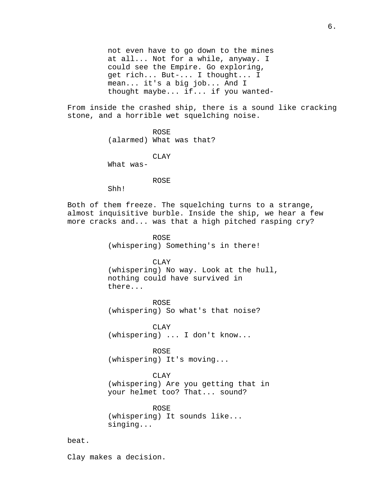not even have to go down to the mines at all... Not for a while, anyway. I could see the Empire. Go exploring, get rich... But-... I thought... I mean... it's a big job... And I thought maybe... if... if you wanted-

From inside the crashed ship, there is a sound like cracking stone, and a horrible wet squelching noise.

> ROSE (alarmed) What was that?

CLAY What was-

ROSE

Shh!

Both of them freeze. The squelching turns to a strange, almost inquisitive burble. Inside the ship, we hear a few more cracks and... was that a high pitched rasping cry?

> ROSE (whispering) Something's in there!

CLAY (whispering) No way. Look at the hull, nothing could have survived in there...

ROSE (whispering) So what's that noise?

CLAY (whispering) ... I don't know...

ROSE (whispering) It's moving...

CLAY (whispering) Are you getting that in your helmet too? That... sound?

ROSE (whispering) It sounds like... singing...

beat.

Clay makes a decision.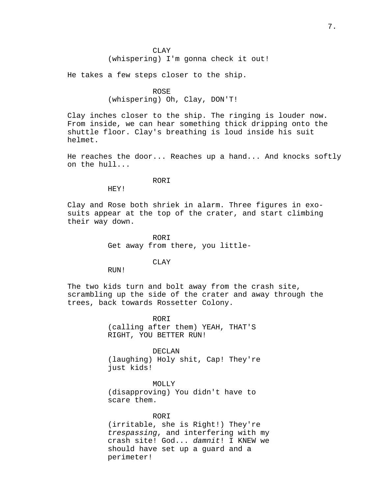CLAY (whispering) I'm gonna check it out!

He takes a few steps closer to the ship.

ROSE (whispering) Oh, Clay, DON'T!

Clay inches closer to the ship. The ringing is louder now. From inside, we can hear something thick dripping onto the shuttle floor. Clay's breathing is loud inside his suit helmet.

He reaches the door... Reaches up a hand... And knocks softly on the hull...

### RORI

HEY!

Clay and Rose both shriek in alarm. Three figures in exosuits appear at the top of the crater, and start climbing their way down.

> RORI Get away from there, you little-

## CLAY

RUN!

The two kids turn and bolt away from the crash site, scrambling up the side of the crater and away through the trees, back towards Rossetter Colony.

> ROR<sub>T</sub> (calling after them) YEAH, THAT'S RIGHT, YOU BETTER RUN!

DECLAN (laughing) Holy shit, Cap! They're just kids!

MOLLY (disapproving) You didn't have to scare them.

RORI (irritable, she is Right!) They're trespassing, and interfering with my crash site! God... damnit! I KNEW we should have set up a guard and a perimeter!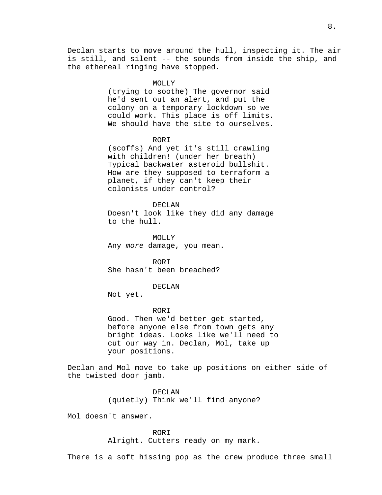#### MOLLY

(trying to soothe) The governor said he'd sent out an alert, and put the colony on a temporary lockdown so we could work. This place is off limits. We should have the site to ourselves.

### ROR<sub>T</sub>

(scoffs) And yet it's still crawling with children! (under her breath) Typical backwater asteroid bullshit. How are they supposed to terraform a planet, if they can't keep their colonists under control?

### DECLAN

Doesn't look like they did any damage to the hull.

MOLLY Any more damage, you mean.

RORI She hasn't been breached?

#### DECLAN

Not yet.

### ROR<sub>T</sub>

Good. Then we'd better get started, before anyone else from town gets any bright ideas. Looks like we'll need to cut our way in. Declan, Mol, take up your positions.

Declan and Mol move to take up positions on either side of the twisted door jamb.

> DECLAN (quietly) Think we'll find anyone?

Mol doesn't answer.

RORI Alright. Cutters ready on my mark.

There is a soft hissing pop as the crew produce three small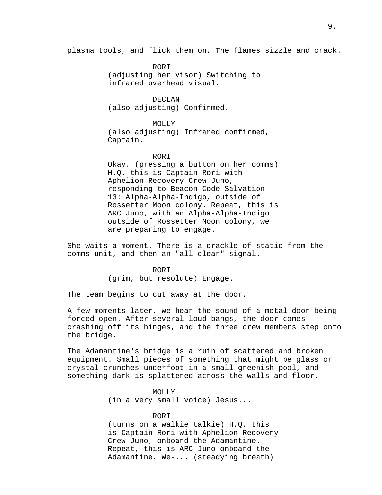plasma tools, and flick them on. The flames sizzle and crack.

RORI (adjusting her visor) Switching to infrared overhead visual.

DECLAN (also adjusting) Confirmed.

MOLLY (also adjusting) Infrared confirmed, Captain.

#### RORI

Okay. (pressing a button on her comms) H.Q. this is Captain Rori with Aphelion Recovery Crew Juno, responding to Beacon Code Salvation 13: Alpha-Alpha-Indigo, outside of Rossetter Moon colony. Repeat, this is ARC Juno, with an Alpha-Alpha-Indigo outside of Rossetter Moon colony, we are preparing to engage.

She waits a moment. There is a crackle of static from the comms unit, and then an "all clear" signal.

> RORI (grim, but resolute) Engage.

The team begins to cut away at the door.

A few moments later, we hear the sound of a metal door being forced open. After several loud bangs, the door comes crashing off its hinges, and the three crew members step onto the bridge.

The Adamantine's bridge is a ruin of scattered and broken equipment. Small pieces of something that might be glass or crystal crunches underfoot in a small greenish pool, and something dark is splattered across the walls and floor.

# MOLLY

(in a very small voice) Jesus...

# RORI

(turns on a walkie talkie) H.Q. this is Captain Rori with Aphelion Recovery Crew Juno, onboard the Adamantine. Repeat, this is ARC Juno onboard the Adamantine. We-... (steadying breath)